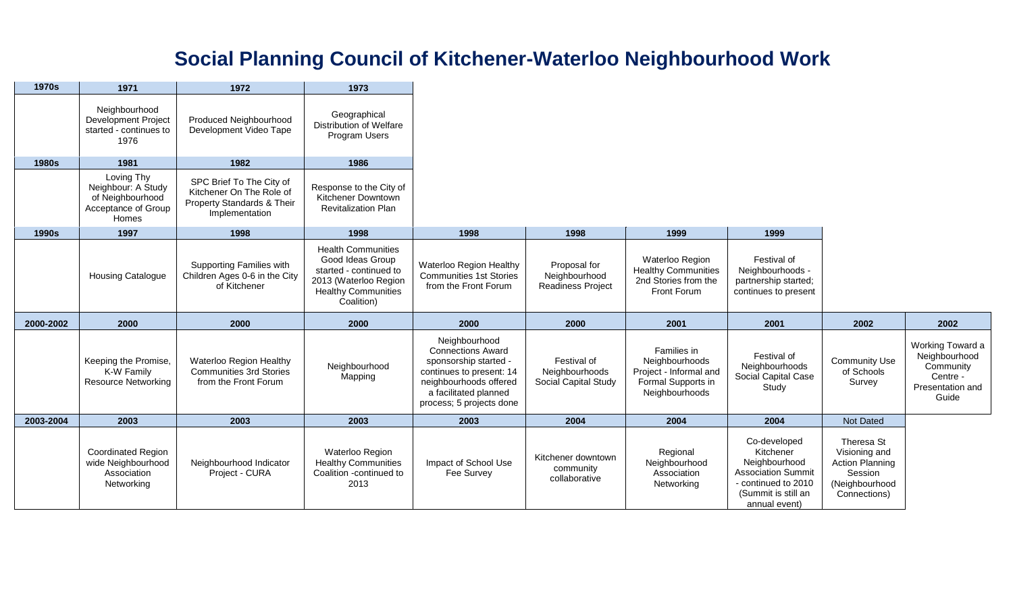## **Social Planning Council of Kitchener-Waterloo Neighbourhood Work**

| 1970s        | 1971                                                                                 | 1972                                                                                                 | 1973                                                                                                                                         |                                                                                                                                                                               |                                                           |                                                                                                 |                                                                                                                                        |                                                                                                    |                                                                                         |
|--------------|--------------------------------------------------------------------------------------|------------------------------------------------------------------------------------------------------|----------------------------------------------------------------------------------------------------------------------------------------------|-------------------------------------------------------------------------------------------------------------------------------------------------------------------------------|-----------------------------------------------------------|-------------------------------------------------------------------------------------------------|----------------------------------------------------------------------------------------------------------------------------------------|----------------------------------------------------------------------------------------------------|-----------------------------------------------------------------------------------------|
|              | Neighbourhood<br><b>Development Project</b><br>started - continues to<br>1976        | Produced Neighbourhood<br>Development Video Tape                                                     | Geographical<br><b>Distribution of Welfare</b><br>Program Users                                                                              |                                                                                                                                                                               |                                                           |                                                                                                 |                                                                                                                                        |                                                                                                    |                                                                                         |
| <b>1980s</b> | 1981                                                                                 | 1982                                                                                                 | 1986                                                                                                                                         |                                                                                                                                                                               |                                                           |                                                                                                 |                                                                                                                                        |                                                                                                    |                                                                                         |
|              | Loving Thy<br>Neighbour: A Study<br>of Neighbourhood<br>Acceptance of Group<br>Homes | SPC Brief To The City of<br>Kitchener On The Role of<br>Property Standards & Their<br>Implementation | Response to the City of<br>Kitchener Downtown<br><b>Revitalization Plan</b>                                                                  |                                                                                                                                                                               |                                                           |                                                                                                 |                                                                                                                                        |                                                                                                    |                                                                                         |
| 1990s        | 1997                                                                                 | 1998                                                                                                 | 1998                                                                                                                                         | 1998                                                                                                                                                                          | 1998                                                      | 1999                                                                                            | 1999                                                                                                                                   |                                                                                                    |                                                                                         |
|              | <b>Housing Catalogue</b>                                                             | Supporting Families with<br>Children Ages 0-6 in the City<br>of Kitchener                            | <b>Health Communities</b><br>Good Ideas Group<br>started - continued to<br>2013 (Waterloo Region<br><b>Healthy Communities</b><br>Coalition) | Waterloo Region Healthy<br><b>Communities 1st Stories</b><br>from the Front Forum                                                                                             | Proposal for<br>Neighbourhood<br><b>Readiness Project</b> | Waterloo Region<br><b>Healthy Communities</b><br>2nd Stories from the<br>Front Forum            | Festival of<br>Neighbourhoods -<br>partnership started;<br>continues to present                                                        |                                                                                                    |                                                                                         |
| 2000-2002    | 2000                                                                                 | 2000                                                                                                 | 2000                                                                                                                                         | 2000                                                                                                                                                                          | 2000                                                      | 2001                                                                                            | 2001                                                                                                                                   | 2002                                                                                               | 2002                                                                                    |
|              | Keeping the Promise,<br>K-W Family<br><b>Resource Networking</b>                     | Waterloo Region Healthy<br><b>Communities 3rd Stories</b><br>from the Front Forum                    | Neighbourhood<br>Mapping                                                                                                                     | Neighbourhood<br><b>Connections Award</b><br>sponsorship started -<br>continues to present: 14<br>neighbourhoods offered<br>a facilitated planned<br>process; 5 projects done | Festival of<br>Neighbourhoods<br>Social Capital Study     | Families in<br>Neighbourhoods<br>Project - Informal and<br>Formal Supports in<br>Neighbourhoods | Festival of<br>Neighbourhoods<br>Social Capital Case<br>Study                                                                          | <b>Community Use</b><br>of Schools<br>Survey                                                       | Working Toward a<br>Neighbourhood<br>Community<br>Centre -<br>Presentation and<br>Guide |
| 2003-2004    | 2003                                                                                 | 2003                                                                                                 | 2003                                                                                                                                         | 2003                                                                                                                                                                          | 2004                                                      | 2004                                                                                            | 2004                                                                                                                                   | Not Dated                                                                                          |                                                                                         |
|              | <b>Coordinated Region</b><br>wide Neighbourhood<br>Association<br>Networking         | Neighbourhood Indicator<br>Project - CURA                                                            | Waterloo Region<br><b>Healthy Communities</b><br>Coalition -continued to<br>2013                                                             | Impact of School Use<br>Fee Survey                                                                                                                                            | Kitchener downtown<br>community<br>collaborative          | Regional<br>Neighbourhood<br>Association<br>Networking                                          | Co-developed<br>Kitchener<br>Neighbourhood<br><b>Association Summit</b><br>- continued to 2010<br>(Summit is still an<br>annual event) | Theresa St<br>Visioning and<br><b>Action Planning</b><br>Session<br>(Neighbourhood<br>Connections) |                                                                                         |